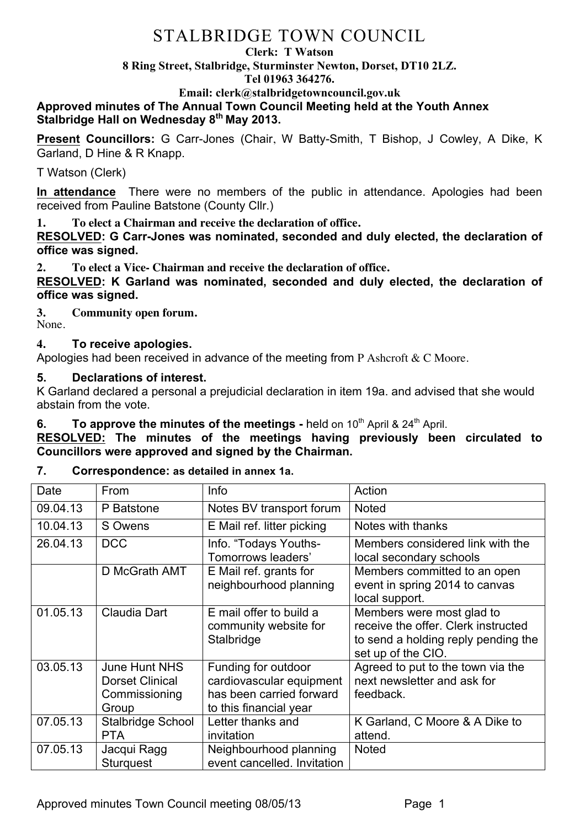#### **Clerk: T Watson**

**8 Ring Street, Stalbridge, Sturminster Newton, Dorset, DT10 2LZ.**

**Tel 01963 364276.** 

**Email: clerk@stalbridgetowncouncil.gov.uk**

**Approved minutes of The Annual Town Council Meeting held at the Youth Annex Stalbridge Hall on Wednesday 8th May 2013.**

**Present Councillors:** G Carr-Jones (Chair, W Batty-Smith, T Bishop, J Cowley, A Dike, K Garland, D Hine & R Knapp.

T Watson (Clerk)

**In attendance** There were no members of the public in attendance. Apologies had been received from Pauline Batstone (County Cllr.)

**1. To elect a Chairman and receive the declaration of office.**

**RESOLVED: G Carr-Jones was nominated, seconded and duly elected, the declaration of office was signed.**

**2. To elect a Vice- Chairman and receive the declaration of office.**

**RESOLVED: K Garland was nominated, seconded and duly elected, the declaration of office was signed.**

**3. Community open forum.** None.

# **4. To receive apologies.**

Apologies had been received in advance of the meeting from P Ashcroft  $& C$  Moore.

# **5. Declarations of interest.**

K Garland declared a personal a prejudicial declaration in item 19a. and advised that she would abstain from the vote.

# **6. To approve the minutes of the meetings -** held on 10<sup>th</sup> April & 24<sup>th</sup> April.

**RESOLVED: The minutes of the meetings having previously been circulated to Councillors were approved and signed by the Chairman.**

# **7. Correspondence: as detailed in annex 1a.**

| Date     | From                                                              | Info                                                                                                  | Action                                                                                                                        |
|----------|-------------------------------------------------------------------|-------------------------------------------------------------------------------------------------------|-------------------------------------------------------------------------------------------------------------------------------|
| 09.04.13 | P Batstone                                                        | Notes BV transport forum                                                                              | <b>Noted</b>                                                                                                                  |
| 10.04.13 | S Owens                                                           | E Mail ref. litter picking                                                                            | Notes with thanks                                                                                                             |
| 26.04.13 | <b>DCC</b>                                                        | Info. "Todays Youths-<br>Tomorrows leaders'                                                           | Members considered link with the<br>local secondary schools                                                                   |
|          | D McGrath AMT                                                     | E Mail ref. grants for<br>neighbourhood planning                                                      | Members committed to an open<br>event in spring 2014 to canvas<br>local support.                                              |
| 01.05.13 | <b>Claudia Dart</b>                                               | E mail offer to build a<br>community website for<br>Stalbridge                                        | Members were most glad to<br>receive the offer. Clerk instructed<br>to send a holding reply pending the<br>set up of the CIO. |
| 03.05.13 | June Hunt NHS<br><b>Dorset Clinical</b><br>Commissioning<br>Group | Funding for outdoor<br>cardiovascular equipment<br>has been carried forward<br>to this financial year | Agreed to put to the town via the<br>next newsletter and ask for<br>feedback.                                                 |
| 07.05.13 | <b>Stalbridge School</b><br><b>PTA</b>                            | Letter thanks and<br>invitation                                                                       | K Garland, C Moore & A Dike to<br>attend.                                                                                     |
| 07.05.13 | Jacqui Ragg<br><b>Sturguest</b>                                   | Neighbourhood planning<br>event cancelled. Invitation                                                 | <b>Noted</b>                                                                                                                  |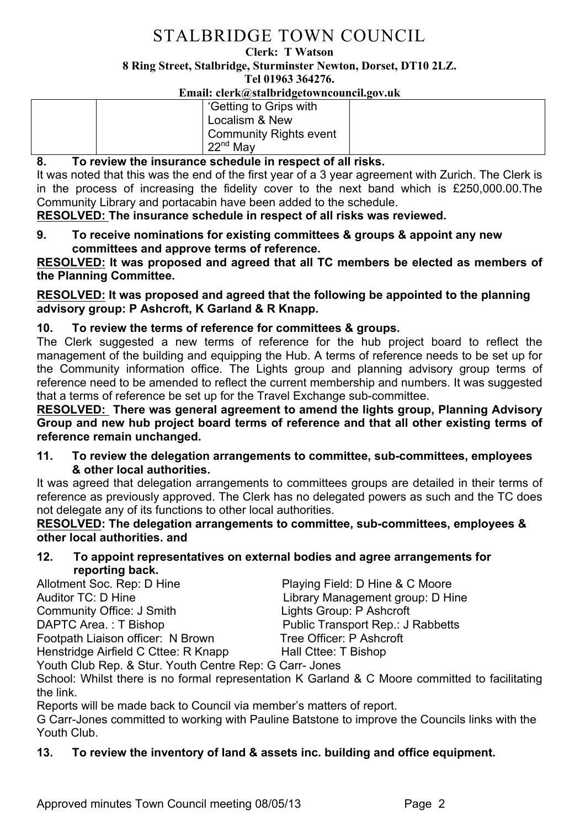#### **Clerk: T Watson**

**8 Ring Street, Stalbridge, Sturminster Newton, Dorset, DT10 2LZ.**

**Tel 01963 364276.** 

**Email: clerk@stalbridgetowncouncil.gov.uk**

## **8. To review the insurance schedule in respect of all risks.**

It was noted that this was the end of the first year of a 3 year agreement with Zurich. The Clerk is in the process of increasing the fidelity cover to the next band which is £250,000.00.The Community Library and portacabin have been added to the schedule.

**RESOLVED: The insurance schedule in respect of all risks was reviewed.**

**9. To receive nominations for existing committees & groups & appoint any new committees and approve terms of reference.**

**RESOLVED: It was proposed and agreed that all TC members be elected as members of the Planning Committee.**

**RESOLVED: It was proposed and agreed that the following be appointed to the planning advisory group: P Ashcroft, K Garland & R Knapp.** 

# **10. To review the terms of reference for committees & groups.**

The Clerk suggested a new terms of reference for the hub project board to reflect the management of the building and equipping the Hub. A terms of reference needs to be set up for the Community information office. The Lights group and planning advisory group terms of reference need to be amended to reflect the current membership and numbers. It was suggested that a terms of reference be set up for the Travel Exchange sub-committee.

**RESOLVED: There was general agreement to amend the lights group, Planning Advisory Group and new hub project board terms of reference and that all other existing terms of reference remain unchanged.**

**11. To review the delegation arrangements to committee, sub-committees, employees & other local authorities.**

It was agreed that delegation arrangements to committees groups are detailed in their terms of reference as previously approved. The Clerk has no delegated powers as such and the TC does not delegate any of its functions to other local authorities.

**RESOLVED: The delegation arrangements to committee, sub-committees, employees & other local authorities. and** 

**12. To appoint representatives on external bodies and agree arrangements for reporting back.**

Allotment Soc. Rep: D Hine **Playing Field: D Hine & C Moore** Auditor TC: D Hine **Library Management group: D Hine** Community Office: J Smith Lights Group: P Ashcroft DAPTC Area.: T Bishop Public Transport Rep.: J Rabbetts Footpath Liaison officer: N Brown Tree Officer: P Ashcroft

Henstridge Airfield C Cttee: R Knapp Hall Cttee: T Bishop

Youth Club Rep. & Stur. Youth Centre Rep: G Carr- Jones

School: Whilst there is no formal representation K Garland & C Moore committed to facilitating the link.

Reports will be made back to Council via member's matters of report.

G Carr-Jones committed to working with Pauline Batstone to improve the Councils links with the Youth Club.

# **13. To review the inventory of land & assets inc. building and office equipment.**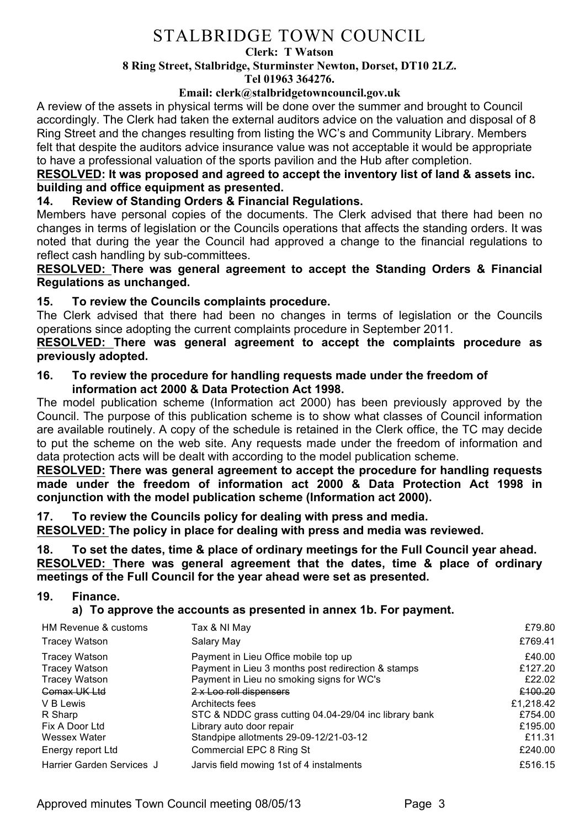#### **Clerk: T Watson**

#### **8 Ring Street, Stalbridge, Sturminster Newton, Dorset, DT10 2LZ.**

**Tel 01963 364276.** 

### **Email: clerk@stalbridgetowncouncil.gov.uk**

A review of the assets in physical terms will be done over the summer and brought to Council accordingly. The Clerk had taken the external auditors advice on the valuation and disposal of 8 Ring Street and the changes resulting from listing the WC's and Community Library. Members felt that despite the auditors advice insurance value was not acceptable it would be appropriate to have a professional valuation of the sports pavilion and the Hub after completion.

### **RESOLVED: It was proposed and agreed to accept the inventory list of land & assets inc. building and office equipment as presented.**

# **14. Review of Standing Orders & Financial Regulations.**

Members have personal copies of the documents. The Clerk advised that there had been no changes in terms of legislation or the Councils operations that affects the standing orders. It was noted that during the year the Council had approved a change to the financial regulations to reflect cash handling by sub-committees.

## **RESOLVED: There was general agreement to accept the Standing Orders & Financial Regulations as unchanged.**

# **15. To review the Councils complaints procedure.**

The Clerk advised that there had been no changes in terms of legislation or the Councils operations since adopting the current complaints procedure in September 2011.

**RESOLVED: There was general agreement to accept the complaints procedure as previously adopted.**

## **16. To review the procedure for handling requests made under the freedom of information act 2000 & Data Protection Act 1998.**

The model publication scheme (Information act 2000) has been previously approved by the Council. The purpose of this publication scheme is to show what classes of Council information are available routinely. A copy of the schedule is retained in the Clerk office, the TC may decide to put the scheme on the web site. Any requests made under the freedom of information and data protection acts will be dealt with according to the model publication scheme.

**RESOLVED: There was general agreement to accept the procedure for handling requests made under the freedom of information act 2000 & Data Protection Act 1998 in conjunction with the model publication scheme (Information act 2000).**

**17. To review the Councils policy for dealing with press and media.**

**RESOLVED: The policy in place for dealing with press and media was reviewed.**

**18. To set the dates, time & place of ordinary meetings for the Full Council year ahead. RESOLVED: There was general agreement that the dates, time & place of ordinary meetings of the Full Council for the year ahead were set as presented.** 

## **19. Finance.**

**a) To approve the accounts as presented in annex 1b. For payment.**

| HM Revenue & customs      | Tax & NI May                                          | £79.80    |
|---------------------------|-------------------------------------------------------|-----------|
| <b>Tracey Watson</b>      | Salary May                                            | £769.41   |
| <b>Tracey Watson</b>      | Payment in Lieu Office mobile top up                  | £40.00    |
| <b>Tracey Watson</b>      | Payment in Lieu 3 months post redirection & stamps    | £127.20   |
| <b>Tracey Watson</b>      | Payment in Lieu no smoking signs for WC's             | £22.02    |
| Comax UK Ltd              | 2 x Loo roll dispensers                               | £100.20   |
| V B Lewis                 | Architects fees                                       | £1,218.42 |
| R Sharp                   | STC & NDDC grass cutting 04.04-29/04 inc library bank | £754.00   |
| Fix A Door Ltd            | Library auto door repair                              | £195.00   |
| Wessex Water              | Standpipe allotments 29-09-12/21-03-12                | £11.31    |
| Energy report Ltd         | Commercial EPC 8 Ring St                              | £240.00   |
| Harrier Garden Services J | Jarvis field mowing 1st of 4 instalments              | £516.15   |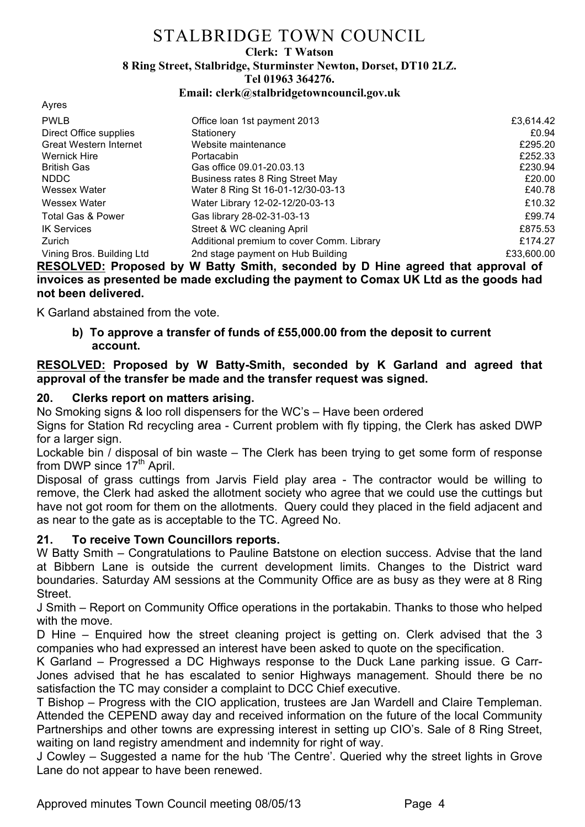#### **Clerk: T Watson**

**8 Ring Street, Stalbridge, Sturminster Newton, Dorset, DT10 2LZ.**

**Tel 01963 364276.** 

**Email: clerk@stalbridgetowncouncil.gov.uk**

| Office Ioan 1st payment 2013              | £3,614.42  |
|-------------------------------------------|------------|
| Stationery                                | £0.94      |
| Website maintenance                       | £295.20    |
| Portacabin                                | £252.33    |
| Gas office 09.01-20.03.13                 | £230.94    |
| Business rates 8 Ring Street May          | £20.00     |
| Water 8 Ring St 16-01-12/30-03-13         | £40.78     |
| Water Library 12-02-12/20-03-13           | £10.32     |
| Gas library 28-02-31-03-13                | £99.74     |
| Street & WC cleaning April                | £875.53    |
| Additional premium to cover Comm. Library | £174.27    |
| 2nd stage payment on Hub Building         | £33,600.00 |
|                                           |            |

**RESOLVED: Proposed by W Batty Smith, seconded by D Hine agreed that approval of invoices as presented be made excluding the payment to Comax UK Ltd as the goods had not been delivered.**

K Garland abstained from the vote.

**b) To approve a transfer of funds of £55,000.00 from the deposit to current account.**

### **RESOLVED: Proposed by W Batty-Smith, seconded by K Garland and agreed that approval of the transfer be made and the transfer request was signed.**

# **20. Clerks report on matters arising.**

No Smoking signs & loo roll dispensers for the WC's – Have been ordered

Signs for Station Rd recycling area - Current problem with fly tipping, the Clerk has asked DWP for a larger sign.

Lockable bin / disposal of bin waste – The Clerk has been trying to get some form of response from DWP since  $17<sup>th</sup>$  April.

Disposal of grass cuttings from Jarvis Field play area - The contractor would be willing to remove, the Clerk had asked the allotment society who agree that we could use the cuttings but have not got room for them on the allotments. Query could they placed in the field adjacent and as near to the gate as is acceptable to the TC. Agreed No.

# **21. To receive Town Councillors reports.**

W Batty Smith – Congratulations to Pauline Batstone on election success. Advise that the land at Bibbern Lane is outside the current development limits. Changes to the District ward boundaries. Saturday AM sessions at the Community Office are as busy as they were at 8 Ring Street.

J Smith – Report on Community Office operations in the portakabin. Thanks to those who helped with the move

D Hine – Enquired how the street cleaning project is getting on. Clerk advised that the 3 companies who had expressed an interest have been asked to quote on the specification.

K Garland – Progressed a DC Highways response to the Duck Lane parking issue. G Carr-Jones advised that he has escalated to senior Highways management. Should there be no satisfaction the TC may consider a complaint to DCC Chief executive.

T Bishop – Progress with the CIO application, trustees are Jan Wardell and Claire Templeman. Attended the CEPEND away day and received information on the future of the local Community Partnerships and other towns are expressing interest in setting up CIO's. Sale of 8 Ring Street, waiting on land registry amendment and indemnity for right of way.

J Cowley – Suggested a name for the hub 'The Centre'. Queried why the street lights in Grove Lane do not appear to have been renewed.